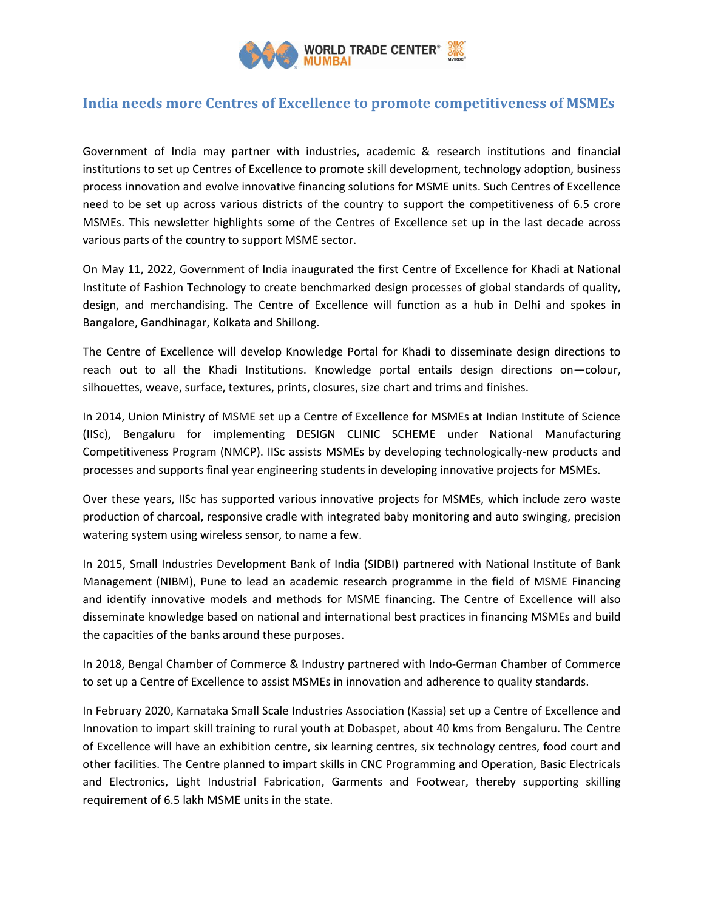

# **India needs more Centres of Excellence to promote competitiveness of MSMEs**

Government of India may partner with industries, academic & research institutions and financial institutions to set up Centres of Excellence to promote skill development, technology adoption, business process innovation and evolve innovative financing solutions for MSME units. Such Centres of Excellence need to be set up across various districts of the country to support the competitiveness of 6.5 crore MSMEs. This newsletter highlights some of the Centres of Excellence set up in the last decade across various parts of the country to support MSME sector.

On May 11, 2022, Government of India inaugurated the first Centre of Excellence for Khadi at National Institute of Fashion Technology to create benchmarked design processes of global standards of quality, design, and merchandising. The Centre of Excellence will function as a hub in Delhi and spokes in Bangalore, Gandhinagar, Kolkata and Shillong.

The Centre of Excellence will develop Knowledge Portal for Khadi to disseminate design directions to reach out to all the Khadi Institutions. Knowledge portal entails design directions on—colour, silhouettes, weave, surface, textures, prints, closures, size chart and trims and finishes.

In 2014, Union Ministry of MSME set up a Centre of Excellence for MSMEs at Indian Institute of Science (IISc), Bengaluru for implementing DESIGN CLINIC SCHEME under National Manufacturing Competitiveness Program (NMCP). IISc assists MSMEs by developing technologically-new products and processes and supports final year engineering students in developing innovative projects for MSMEs.

Over these years, IISc has supported various innovative projects for MSMEs, which include zero waste production of charcoal, responsive cradle with integrated baby monitoring and auto swinging, precision watering system using wireless sensor, to name a few.

In 2015, Small Industries Development Bank of India (SIDBI) partnered with National Institute of Bank Management (NIBM), Pune to lead an academic research programme in the field of MSME Financing and identify innovative models and methods for MSME financing. The Centre of Excellence will also disseminate knowledge based on national and international best practices in financing MSMEs and build the capacities of the banks around these purposes.

In 2018, Bengal Chamber of Commerce & Industry partnered with Indo-German Chamber of Commerce to set up a Centre of Excellence to assist MSMEs in innovation and adherence to quality standards.

In February 2020, Karnataka Small Scale Industries Association (Kassia) set up a Centre of Excellence and Innovation to impart skill training to rural youth at Dobaspet, about 40 kms from Bengaluru. The Centre of Excellence will have an exhibition centre, six learning centres, six technology centres, food court and other facilities. The Centre planned to impart skills in CNC Programming and Operation, Basic Electricals and Electronics, Light Industrial Fabrication, Garments and Footwear, thereby supporting skilling requirement of 6.5 lakh MSME units in the state.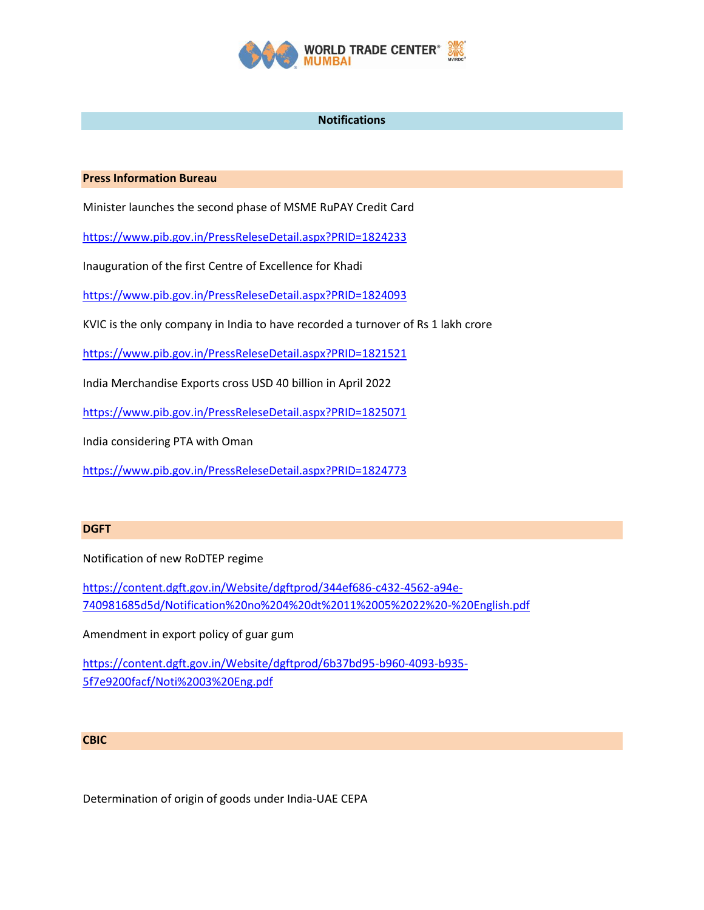

## **Notifications**

### **Press Information Bureau**

Minister launches the second phase of MSME RuPAY Credit Card

<https://www.pib.gov.in/PressReleseDetail.aspx?PRID=1824233>

Inauguration of the first Centre of Excellence for Khadi

<https://www.pib.gov.in/PressReleseDetail.aspx?PRID=1824093>

KVIC is the only company in India to have recorded a turnover of Rs 1 lakh crore

<https://www.pib.gov.in/PressReleseDetail.aspx?PRID=1821521>

India Merchandise Exports cross USD 40 billion in April 2022

<https://www.pib.gov.in/PressReleseDetail.aspx?PRID=1825071>

India considering PTA with Oman

<https://www.pib.gov.in/PressReleseDetail.aspx?PRID=1824773>

#### **DGFT**

Notification of new RoDTEP regime

[https://content.dgft.gov.in/Website/dgftprod/344ef686-c432-4562-a94e-](https://content.dgft.gov.in/Website/dgftprod/344ef686-c432-4562-a94e-740981685d5d/Notification%20no%204%20dt%2011%2005%2022%20-%20English.pdf)[740981685d5d/Notification%20no%204%20dt%2011%2005%2022%20-%20English.pdf](https://content.dgft.gov.in/Website/dgftprod/344ef686-c432-4562-a94e-740981685d5d/Notification%20no%204%20dt%2011%2005%2022%20-%20English.pdf)

Amendment in export policy of guar gum

[https://content.dgft.gov.in/Website/dgftprod/6b37bd95-b960-4093-b935-](https://content.dgft.gov.in/Website/dgftprod/6b37bd95-b960-4093-b935-5f7e9200facf/Noti%2003%20Eng.pdf) [5f7e9200facf/Noti%2003%20Eng.pdf](https://content.dgft.gov.in/Website/dgftprod/6b37bd95-b960-4093-b935-5f7e9200facf/Noti%2003%20Eng.pdf)

#### **CBIC**

Determination of origin of goods under India-UAE CEPA